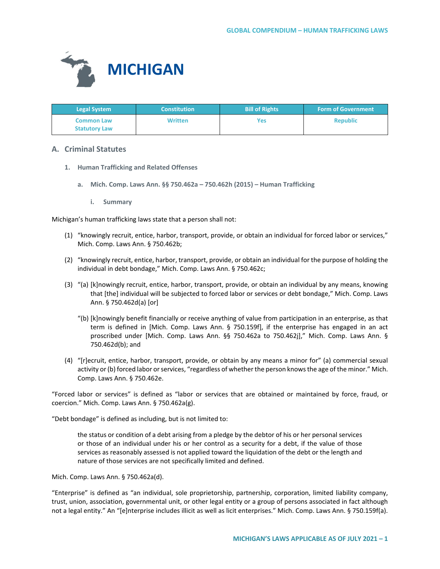

| <b>Legal System</b>                       | <b>Constitution</b> | <b>Bill of Rights</b> | <b>Form of Government</b> |
|-------------------------------------------|---------------------|-----------------------|---------------------------|
| <b>Common Law</b><br><b>Statutory Law</b> | <b>Written</b>      | Yes                   | <b>Republic</b>           |

# **A. Criminal Statutes**

- **1. Human Trafficking and Related Offenses**
	- **a. Mich. Comp. Laws Ann. §§ 750.462a 750.462h (2015) Human Trafficking**
		- **i. Summary**

Michigan's human trafficking laws state that a person shall not:

- (1) "knowingly recruit, entice, harbor, transport, provide, or obtain an individual for forced labor or services," Mich. Comp. Laws Ann. § 750.462b;
- (2) "knowingly recruit, entice, harbor, transport, provide, or obtain an individual for the purpose of holding the individual in debt bondage," Mich. Comp. Laws Ann. § 750.462c;
- (3) "(a) [k]nowingly recruit, entice, harbor, transport, provide, or obtain an individual by any means, knowing that [the] individual will be subjected to forced labor or services or debt bondage," Mich. Comp. Laws Ann. § 750.462d(a) [or]
	- "(b) [k]nowingly benefit financially or receive anything of value from participation in an enterprise, as that term is defined in [Mich. Comp. Laws Ann. § 750.159f], if the enterprise has engaged in an act proscribed under [Mich. Comp. Laws Ann. §§ 750.462a to 750.462j]," Mich. Comp. Laws Ann. § 750.462d(b); and
- (4) "[r]ecruit, entice, harbor, transport, provide, or obtain by any means a minor for" (a) commercial sexual activity or (b) forced labor or services, "regardless of whether the person knows the age of the minor." Mich. Comp. Laws Ann. § 750.462e.

"Forced labor or services" is defined as "labor or services that are obtained or maintained by force, fraud, or coercion." Mich. Comp. Laws Ann. § 750.462a(g).

"Debt bondage" is defined as including, but is not limited to:

the status or condition of a debt arising from a pledge by the debtor of his or her personal services or those of an individual under his or her control as a security for a debt, if the value of those services as reasonably assessed is not applied toward the liquidation of the debt or the length and nature of those services are not specifically limited and defined.

Mich. Comp. Laws Ann. § 750.462a(d).

"Enterprise" is defined as "an individual, sole proprietorship, partnership, corporation, limited liability company, trust, union, association, governmental unit, or other legal entity or a group of persons associated in fact although not a legal entity." An "[e]nterprise includes illicit as well as licit enterprises." Mich. Comp. Laws Ann. § 750.159f(a).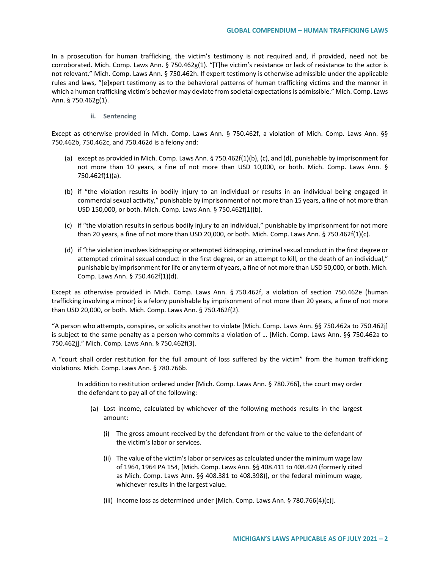In a prosecution for human trafficking, the victim's testimony is not required and, if provided, need not be corroborated. Mich. Comp. Laws Ann. § 750.462g(1). "[T]he victim's resistance or lack of resistance to the actor is not relevant." Mich. Comp. Laws Ann. § 750.462h. If expert testimony is otherwise admissible under the applicable rules and laws, "[e]xpert testimony as to the behavioral patterns of human trafficking victims and the manner in which a human trafficking victim's behavior may deviate from societal expectations is admissible." Mich. Comp. Laws Ann. § 750.462g(1).

**ii. Sentencing**

Except as otherwise provided in Mich. Comp. Laws Ann. § 750.462f, a violation of Mich. Comp. Laws Ann. §§ 750.462b, 750.462c, and 750.462d is a felony and:

- (a) except as provided in Mich. Comp. Laws Ann. § 750.462f(1)(b), (c), and (d), punishable by imprisonment for not more than 10 years, a fine of not more than USD 10,000, or both. Mich. Comp. Laws Ann. § 750.462f(1)(a).
- (b) if "the violation results in bodily injury to an individual or results in an individual being engaged in commercial sexual activity," punishable by imprisonment of not more than 15 years, a fine of not more than USD 150,000, or both. Mich. Comp. Laws Ann. § 750.462f(1)(b).
- (c) if "the violation results in serious bodily injury to an individual," punishable by imprisonment for not more than 20 years, a fine of not more than USD 20,000, or both. Mich. Comp. Laws Ann. § 750.462f(1)(c).
- (d) if "the violation involves kidnapping or attempted kidnapping, criminal sexual conduct in the first degree or attempted criminal sexual conduct in the first degree, or an attempt to kill, or the death of an individual," punishable by imprisonment for life or any term of years, a fine of not more than USD 50,000, or both. Mich. Comp. Laws Ann. § 750.462f(1)(d).

Except as otherwise provided in Mich. Comp. Laws Ann. § 750.462f, a violation of section 750.462e (human trafficking involving a minor) is a felony punishable by imprisonment of not more than 20 years, a fine of not more than USD 20,000, or both. Mich. Comp. Laws Ann. § 750.462f(2).

"A person who attempts, conspires, or solicits another to violate [Mich. Comp. Laws Ann. §§ 750.462a to 750.462j] is subject to the same penalty as a person who commits a violation of … [Mich. Comp. Laws Ann. §§ 750.462a to 750.462j]." Mich. Comp. Laws Ann. § 750.462f(3).

A "court shall order restitution for the full amount of loss suffered by the victim" from the human trafficking violations. Mich. Comp. Laws Ann. § 780.766b.

In addition to restitution ordered under [Mich. Comp. Laws Ann. § 780.766], the court may order the defendant to pay all of the following:

- (a) Lost income, calculated by whichever of the following methods results in the largest amount:
	- (i) The gross amount received by the defendant from or the value to the defendant of the victim's labor or services.
	- (ii) The value of the victim's labor or services as calculated under the minimum wage law of 1964, 1964 PA 154, [Mich. Comp. Laws Ann. §§ 408.411 to 408.424 (formerly cited as Mich. Comp. Laws Ann. §§ 408.381 to 408.398)], or the federal minimum wage, whichever results in the largest value.
	- (iii) Income loss as determined under [Mich. Comp. Laws Ann. § 780.766(4)(c)].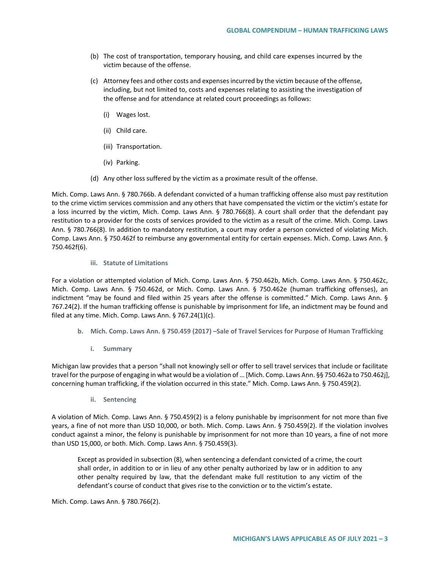- (b) The cost of transportation, temporary housing, and child care expenses incurred by the victim because of the offense.
- (c) Attorney fees and other costs and expenses incurred by the victim because of the offense, including, but not limited to, costs and expenses relating to assisting the investigation of the offense and for attendance at related court proceedings as follows:
	- (i) Wages lost.
	- (ii) Child care.
	- (iii) Transportation.
	- (iv) Parking.
- (d) Any other loss suffered by the victim as a proximate result of the offense.

Mich. Comp. Laws Ann. § 780.766b. A defendant convicted of a human trafficking offense also must pay restitution to the crime victim services commission and any others that have compensated the victim or the victim's estate for a loss incurred by the victim, Mich. Comp. Laws Ann. § 780.766(8). A court shall order that the defendant pay restitution to a provider for the costs of services provided to the victim as a result of the crime. Mich. Comp. Laws Ann. § 780.766(8). In addition to mandatory restitution, a court may order a person convicted of violating Mich. Comp. Laws Ann. § 750.462f to reimburse any governmental entity for certain expenses. Mich. Comp. Laws Ann. § 750.462f(6).

### **iii. Statute of Limitations**

For a violation or attempted violation of Mich. Comp. Laws Ann. § 750.462b, Mich. Comp. Laws Ann. § 750.462c, Mich. Comp. Laws Ann. § 750.462d, or Mich. Comp. Laws Ann. § 750.462e (human trafficking offenses), an indictment "may be found and filed within 25 years after the offense is committed." Mich. Comp. Laws Ann. § 767.24(2). If the human trafficking offense is punishable by imprisonment for life, an indictment may be found and filed at any time. Mich. Comp. Laws Ann. § 767.24(1)(c).

- **b. Mich. Comp. Laws Ann. § 750.459 (2017) –Sale of Travel Services for Purpose of Human Trafficking** 
	- **i. Summary**

Michigan law provides that a person "shall not knowingly sell or offer to sell travel services that include or facilitate travel for the purpose of engaging in what would be a violation of … [Mich. Comp. Laws Ann. §§ 750.462a to 750.462j], concerning human trafficking, if the violation occurred in this state." Mich. Comp. Laws Ann. § 750.459(2).

**ii. Sentencing**

A violation of Mich. Comp. Laws Ann. § 750.459(2) is a felony punishable by imprisonment for not more than five years, a fine of not more than USD 10,000, or both. Mich. Comp. Laws Ann. § 750.459(2). If the violation involves conduct against a minor, the felony is punishable by imprisonment for not more than 10 years, a fine of not more than USD 15,000, or both. Mich. Comp. Laws Ann. § 750.459(3).

Except as provided in subsection (8), when sentencing a defendant convicted of a crime, the court shall order, in addition to or in lieu of any other penalty authorized by law or in addition to any other penalty required by law, that the defendant make full restitution to any victim of the defendant's course of conduct that gives rise to the conviction or to the victim's estate.

Mich. Comp. Laws Ann. § 780.766(2).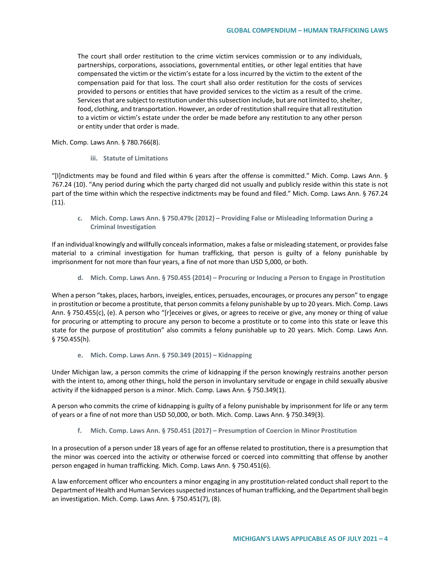The court shall order restitution to the crime victim services commission or to any individuals, partnerships, corporations, associations, governmental entities, or other legal entities that have compensated the victim or the victim's estate for a loss incurred by the victim to the extent of the compensation paid for that loss. The court shall also order restitution for the costs of services provided to persons or entities that have provided services to the victim as a result of the crime. Services that are subject to restitution under this subsection include, but are not limited to, shelter, food, clothing, and transportation. However, an order of restitution shall require that all restitution to a victim or victim's estate under the order be made before any restitution to any other person or entity under that order is made.

Mich. Comp. Laws Ann. § 780.766(8).

**iii. Statute of Limitations**

"[I]ndictments may be found and filed within 6 years after the offense is committed." Mich. Comp. Laws Ann. § 767.24 (10). "Any period during which the party charged did not usually and publicly reside within this state is not part of the time within which the respective indictments may be found and filed." Mich. Comp. Laws Ann. § 767.24 (11).

**c. Mich. Comp. Laws Ann. § 750.479c (2012) – Providing False or Misleading Information During a Criminal Investigation** 

If an individual knowingly and willfully conceals information, makes a false or misleading statement, or provides false material to a criminal investigation for human trafficking, that person is guilty of a felony punishable by imprisonment for not more than four years, a fine of not more than USD 5,000, or both.

**d. Mich. Comp. Laws Ann. § 750.455 (2014) – Procuring or Inducing a Person to Engage in Prostitution**

When a person "takes, places, harbors, inveigles, entices, persuades, encourages, or procures any person" to engage in prostitution or become a prostitute, that person commits a felony punishable by up to 20 years. Mich. Comp. Laws Ann. § 750.455(c), (e). A person who "[r]eceives or gives, or agrees to receive or give, any money or thing of value for procuring or attempting to procure any person to become a prostitute or to come into this state or leave this state for the purpose of prostitution" also commits a felony punishable up to 20 years. Mich. Comp. Laws Ann. § 750.455(h).

**e. Mich. Comp. Laws Ann. § 750.349 (2015) – Kidnapping** 

Under Michigan law, a person commits the crime of kidnapping if the person knowingly restrains another person with the intent to, among other things, hold the person in involuntary servitude or engage in child sexually abusive activity if the kidnapped person is a minor. Mich. Comp. Laws Ann. § 750.349(1).

A person who commits the crime of kidnapping is guilty of a felony punishable by imprisonment for life or any term of years or a fine of not more than USD 50,000, or both. Mich. Comp. Laws Ann. § 750.349(3).

**f. Mich. Comp. Laws Ann. § 750.451 (2017) – Presumption of Coercion in Minor Prostitution** 

In a prosecution of a person under 18 years of age for an offense related to prostitution, there is a presumption that the minor was coerced into the activity or otherwise forced or coerced into committing that offense by another person engaged in human trafficking. Mich. Comp. Laws Ann. § 750.451(6).

A law enforcement officer who encounters a minor engaging in any prostitution-related conduct shall report to the Department of Health and Human Services suspected instances of human trafficking, and the Department shall begin an investigation. Mich. Comp. Laws Ann. § 750.451(7), (8).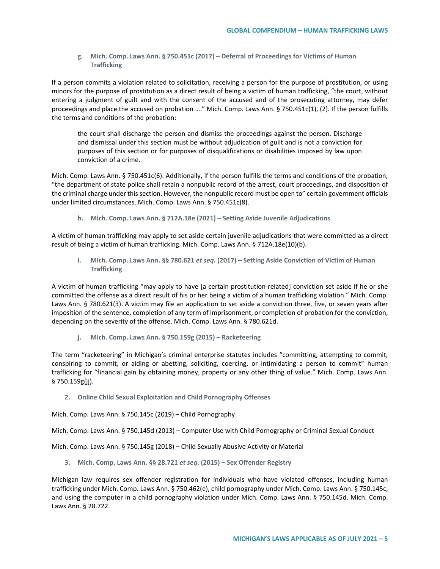**g. Mich. Comp. Laws Ann. § 750.451c (2017) – Deferral of Proceedings for Victims of Human Trafficking**

If a person commits a violation related to solicitation, receiving a person for the purpose of prostitution, or using minors for the purpose of prostitution as a direct result of being a victim of human trafficking, "the court, without entering a judgment of guilt and with the consent of the accused and of the prosecuting attorney, may defer proceedings and place the accused on probation …." Mich. Comp. Laws Ann. § 750.451c(1), (2). If the person fulfills the terms and conditions of the probation:

the court shall discharge the person and dismiss the proceedings against the person. Discharge and dismissal under this section must be without adjudication of guilt and is not a conviction for purposes of this section or for purposes of disqualifications or disabilities imposed by law upon conviction of a crime.

Mich. Comp. Laws Ann. § 750.451c(6). Additionally, if the person fulfills the terms and conditions of the probation, "the department of state police shall retain a nonpublic record of the arrest, court proceedings, and disposition of the criminal charge under this section. However, the nonpublic record must be open to" certain government officials under limited circumstances. Mich. Comp. Laws Ann. § 750.451c(8).

**h. Mich. Comp. Laws Ann. § 712A.18e (2021) – Setting Aside Juvenile Adjudications** 

A victim of human trafficking may apply to set aside certain juvenile adjudications that were committed as a direct result of being a victim of human trafficking. Mich. Comp. Laws Ann. § 712A.18e(10)(b).

**i. Mich. Comp. Laws Ann. §§ 780.621** *et seq.* **(2017) – Setting Aside Conviction of Victim of Human Trafficking**

A victim of human trafficking "may apply to have [a certain prostitution-related] conviction set aside if he or she committed the offense as a direct result of his or her being a victim of a human trafficking violation." Mich. Comp. Laws Ann. § 780.621(3). A victim may file an application to set aside a conviction three, five, or seven years after imposition of the sentence, completion of any term of imprisonment, or completion of probation for the conviction, depending on the severity of the offense. Mich. Comp. Laws Ann. § 780.621d.

**j. Mich. Comp. Laws Ann. § 750.159g (2015) – Racketeering** 

The term "racketeering" in Michigan's criminal enterprise statutes includes "committing, attempting to commit, conspiring to commit, or aiding or abetting, soliciting, coercing, or intimidating a person to commit" human trafficking for "financial gain by obtaining money, property or any other thing of value." Mich. Comp. Laws Ann. § 750.159g(jj).

**2. Online Child Sexual Exploitation and Child Pornography Offenses** 

Mich. Comp. Laws Ann. § 750.145c (2019) – Child Pornography

Mich. Comp. Laws Ann. § 750.145d (2013) – Computer Use with Child Pornography or Criminal Sexual Conduct

Mich. Comp. Laws Ann. § 750.145g (2018) – Child Sexually Abusive Activity or Material

**3. Mich. Comp. Laws Ann. §§ 28.721** *et seq***. (2015) – Sex Offender Registry** 

Michigan law requires sex offender registration for individuals who have violated offenses, including human trafficking under Mich. Comp. Laws Ann. § 750.462(e), child pornography under Mich. Comp. Laws Ann. § 750.145c, and using the computer in a child pornography violation under Mich. Comp. Laws Ann. § 750.145d. Mich. Comp. Laws Ann. § 28.722.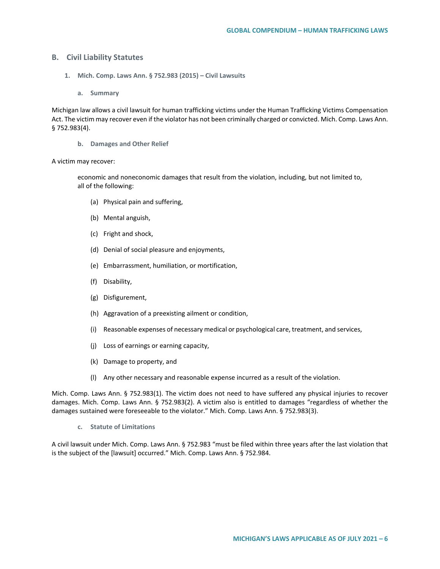## **B. Civil Liability Statutes**

- **1. Mich. Comp. Laws Ann. § 752.983 (2015) – Civil Lawsuits**
	- **a. Summary**

Michigan law allows a civil lawsuit for human trafficking victims under the Human Trafficking Victims Compensation Act. The victim may recover even if the violator has not been criminally charged or convicted. Mich. Comp. Laws Ann. § 752.983(4).

**b. Damages and Other Relief**

#### A victim may recover:

economic and noneconomic damages that result from the violation, including, but not limited to, all of the following:

- (a) Physical pain and suffering,
- (b) Mental anguish,
- (c) Fright and shock,
- (d) Denial of social pleasure and enjoyments,
- (e) Embarrassment, humiliation, or mortification,
- (f) Disability,
- (g) Disfigurement,
- (h) Aggravation of a preexisting ailment or condition,
- (i) Reasonable expenses of necessary medical or psychological care, treatment, and services,
- (j) Loss of earnings or earning capacity,
- (k) Damage to property, and
- (l) Any other necessary and reasonable expense incurred as a result of the violation.

Mich. Comp. Laws Ann. § 752.983(1). The victim does not need to have suffered any physical injuries to recover damages. Mich. Comp. Laws Ann. § 752.983(2). A victim also is entitled to damages "regardless of whether the damages sustained were foreseeable to the violator." Mich. Comp. Laws Ann. § 752.983(3).

**c. Statute of Limitations** 

A civil lawsuit under Mich. Comp. Laws Ann. § 752.983 "must be filed within three years after the last violation that is the subject of the [lawsuit] occurred." Mich. Comp. Laws Ann. § 752.984.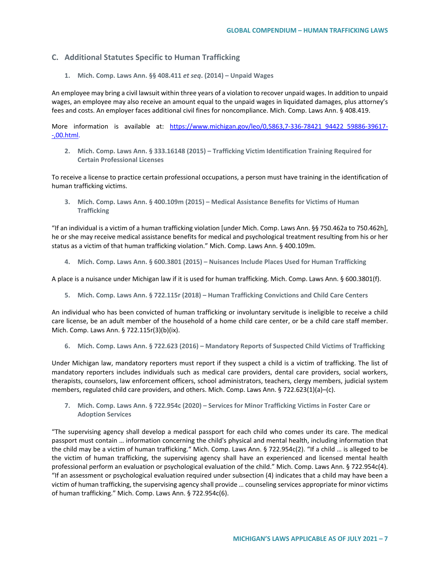## **C. Additional Statutes Specific to Human Trafficking**

**1. Mich. Comp. Laws Ann. §§ 408.411** *et seq***. (2014) – Unpaid Wages**

An employee may bring a civil lawsuit within three years of a violation to recover unpaid wages. In addition to unpaid wages, an employee may also receive an amount equal to the unpaid wages in liquidated damages, plus attorney's fees and costs. An employer faces additional civil fines for noncompliance. Mich. Comp. Laws Ann. § 408.419.

More information is available at: [https://www.michigan.gov/leo/0,5863,7-336-78421\\_94422\\_59886-39617-](https://www.michigan.gov/leo/0,5863,7-336-78421_94422_59886-39617--,00.html) [-,00.html.](https://www.michigan.gov/leo/0,5863,7-336-78421_94422_59886-39617--,00.html)

**2. Mich. Comp. Laws Ann. § 333.16148 (2015) – Trafficking Victim Identification Training Required for Certain Professional Licenses**

To receive a license to practice certain professional occupations, a person must have training in the identification of human trafficking victims.

**3. Mich. Comp. Laws Ann. § 400.109m (2015) – Medical Assistance Benefits for Victims of Human Trafficking** 

"If an individual is a victim of a human trafficking violation [under Mich. Comp. Laws Ann. §§ 750.462a to 750.462h], he or she may receive medical assistance benefits for medical and psychological treatment resulting from his or her status as a victim of that human trafficking violation." Mich. Comp. Laws Ann. § 400.109m.

**4. Mich. Comp. Laws Ann. § 600.3801 (2015) – Nuisances Include Places Used for Human Trafficking**

A place is a nuisance under Michigan law if it is used for human trafficking. Mich. Comp. Laws Ann. § 600.3801(f).

**5. Mich. Comp. Laws Ann. § 722.115r (2018) – Human Trafficking Convictions and Child Care Centers** 

An individual who has been convicted of human trafficking or involuntary servitude is ineligible to receive a child care license, be an adult member of the household of a home child care center, or be a child care staff member. Mich. Comp. Laws Ann. § 722.115r(3)(b)(ix).

**6. Mich. Comp. Laws Ann. § 722.623 (2016) – Mandatory Reports of Suspected Child Victims of Trafficking**

Under Michigan law, mandatory reporters must report if they suspect a child is a victim of trafficking. The list of mandatory reporters includes individuals such as medical care providers, dental care providers, social workers, therapists, counselors, law enforcement officers, school administrators, teachers, clergy members, judicial system members, regulated child care providers, and others. Mich. Comp. Laws Ann. § 722.623(1)(a)–(c).

**7. Mich. Comp. Laws Ann. § 722.954c (2020) – Services for Minor Trafficking Victims in Foster Care or Adoption Services** 

"The supervising agency shall develop a medical passport for each child who comes under its care. The medical passport must contain … information concerning the child's physical and mental health, including information that the child may be a victim of human trafficking." Mich. Comp. Laws Ann. § 722.954c(2). "If a child … is alleged to be the victim of human trafficking, the supervising agency shall have an experienced and licensed mental health professional perform an evaluation or psychological evaluation of the child." Mich. Comp. Laws Ann. § 722.954c(4). "If an assessment or psychological evaluation required under subsection (4) indicates that a child may have been a victim of human trafficking, the supervising agency shall provide … counseling services appropriate for minor victims of human trafficking." Mich. Comp. Laws Ann. § 722.954c(6).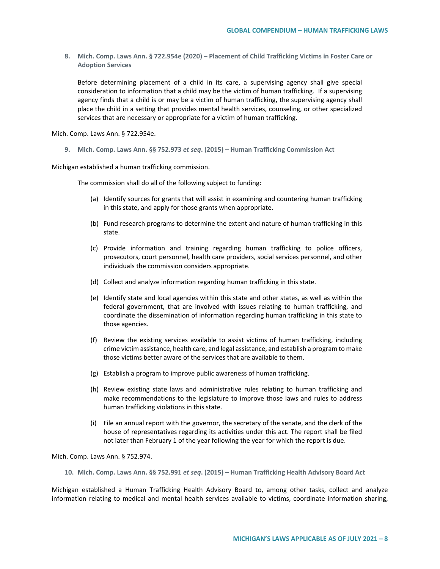**8. Mich. Comp. Laws Ann. § 722.954e (2020) – Placement of Child Trafficking Victims in Foster Care or Adoption Services**

Before determining placement of a child in its care, a supervising agency shall give special consideration to information that a child may be the victim of human trafficking. If a supervising agency finds that a child is or may be a victim of human trafficking, the supervising agency shall place the child in a setting that provides mental health services, counseling, or other specialized services that are necessary or appropriate for a victim of human trafficking.

Mich. Comp. Laws Ann. § 722.954e.

**9. Mich. Comp. Laws Ann. §§ 752.973** *et seq***. (2015) – Human Trafficking Commission Act**

Michigan established a human trafficking commission.

The commission shall do all of the following subject to funding:

- (a) Identify sources for grants that will assist in examining and countering human trafficking in this state, and apply for those grants when appropriate.
- (b) Fund research programs to determine the extent and nature of human trafficking in this state.
- (c) Provide information and training regarding human trafficking to police officers, prosecutors, court personnel, health care providers, social services personnel, and other individuals the commission considers appropriate.
- (d) Collect and analyze information regarding human trafficking in this state.
- (e) Identify state and local agencies within this state and other states, as well as within the federal government, that are involved with issues relating to human trafficking, and coordinate the dissemination of information regarding human trafficking in this state to those agencies.
- (f) Review the existing services available to assist victims of human trafficking, including crime victim assistance, health care, and legal assistance, and establish a program to make those victims better aware of the services that are available to them.
- (g) Establish a program to improve public awareness of human trafficking.
- (h) Review existing state laws and administrative rules relating to human trafficking and make recommendations to the legislature to improve those laws and rules to address human trafficking violations in this state.
- (i) File an annual report with the governor, the secretary of the senate, and the clerk of the house of representatives regarding its activities under this act. The report shall be filed not later than February 1 of the year following the year for which the report is due.

Mich. Comp. Laws Ann. § 752.974.

**10. Mich. Comp. Laws Ann. §§ 752.991** *et seq***. (2015) – Human Trafficking Health Advisory Board Act** 

Michigan established a Human Trafficking Health Advisory Board to, among other tasks, collect and analyze information relating to medical and mental health services available to victims, coordinate information sharing,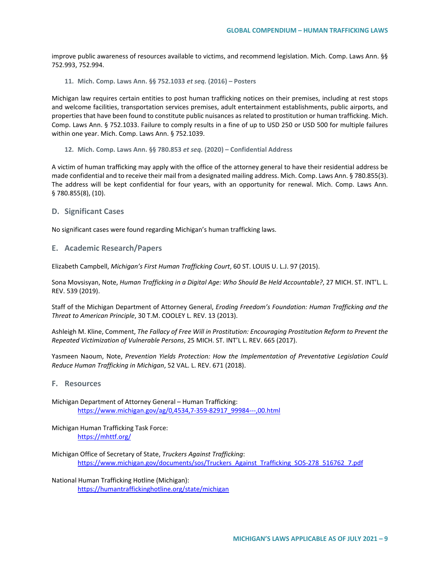improve public awareness of resources available to victims, and recommend legislation. Mich. Comp. Laws Ann. §§ 752.993, 752.994.

**11. Mich. Comp. Laws Ann. §§ 752.1033** *et seq.* **(2016) – Posters**

Michigan law requires certain entities to post human trafficking notices on their premises, including at rest stops and welcome facilities, transportation services premises, adult entertainment establishments, public airports, and properties that have been found to constitute public nuisances as related to prostitution or human trafficking. Mich. Comp. Laws Ann. § 752.1033. Failure to comply results in a fine of up to USD 250 or USD 500 for multiple failures within one year. Mich. Comp. Laws Ann. § 752.1039.

**12. Mich. Comp. Laws Ann. §§ 780.853** *et seq.* **(2020) – Confidential Address** 

A victim of human trafficking may apply with the office of the attorney general to have their residential address be made confidential and to receive their mail from a designated mailing address. Mich. Comp. Laws Ann. § 780.855(3). The address will be kept confidential for four years, with an opportunity for renewal. Mich. Comp. Laws Ann. § 780.855(8), (10).

#### **D. Significant Cases**

No significant cases were found regarding Michigan's human trafficking laws.

**E. Academic Research/Papers**

Elizabeth Campbell, *Michigan's First Human Trafficking Court*, 60 ST. LOUIS U. L.J. 97 (2015).

Sona Movsisyan, Note, *Human Trafficking in a Digital Age: Who Should Be Held Accountable?*, 27 MICH. ST. INT'L. L. REV. 539 (2019).

Staff of the Michigan Department of Attorney General, *Eroding Freedom's Foundation: Human Trafficking and the Threat to American Principle*, 30 T.M. COOLEY L. REV. 13 (2013).

Ashleigh M. Kline, Comment, *The Fallacy of Free Will in Prostitution: Encouraging Prostitution Reform to Prevent the Repeated Victimization of Vulnerable Persons*, 25 MICH. ST. INT'L L. REV. 665 (2017).

Yasmeen Naoum, Note, *Prevention Yields Protection: How the Implementation of Preventative Legislation Could Reduce Human Trafficking in Michigan*, 52 VAL. L. REV. 671 (2018).

### **F. Resources**

Michigan Department of Attorney General – Human Trafficking: [https://www.michigan.gov/ag/0,4534,7-359-82917\\_99984---,00.html](https://www.michigan.gov/ag/0,4534,7-359-82917_99984---,00.html)

Michigan Human Trafficking Task Force: <https://mhttf.org/>

Michigan Office of Secretary of State, *Truckers Against Trafficking*: [https://www.michigan.gov/documents/sos/Truckers\\_Against\\_Trafficking\\_SOS-278\\_516762\\_7.pdf](https://www.michigan.gov/documents/sos/Truckers_Against_Trafficking_SOS-278_516762_7.pdf)

National Human Trafficking Hotline (Michigan): <https://humantraffickinghotline.org/state/michigan>